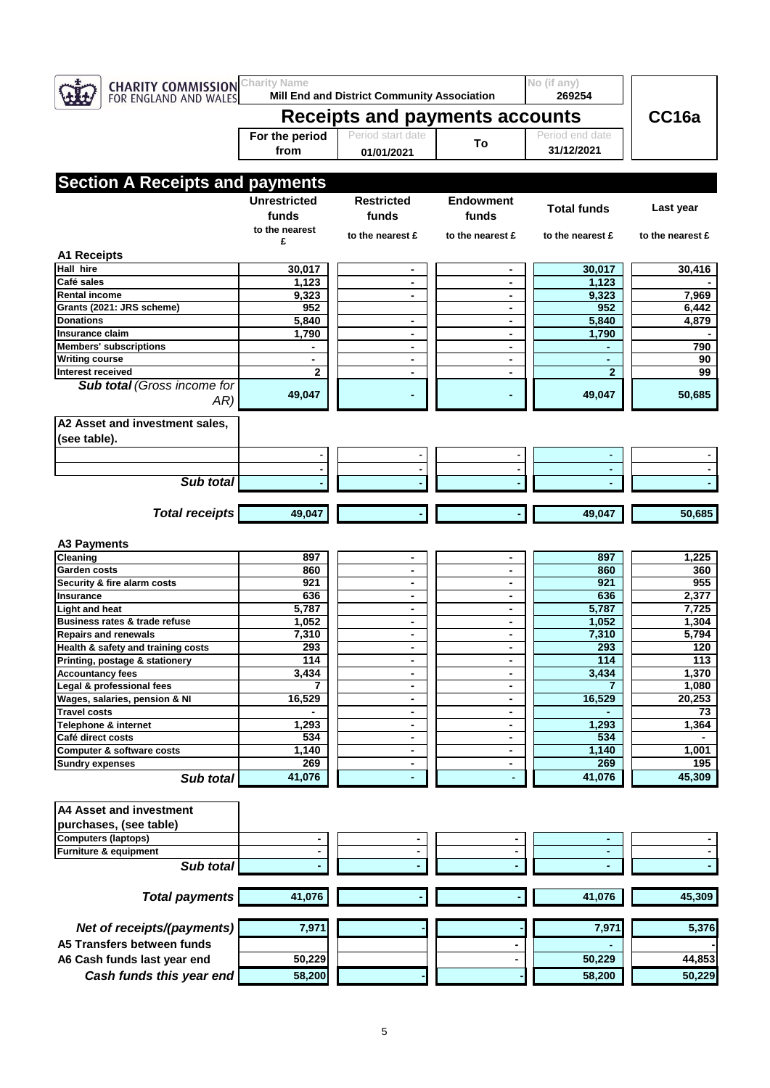| <b>CHARITY COMMISSION</b><br>FOR ENGLAND AND WALES     | <b>Charity Name</b><br>Mill End and District Community Association |                                  |                                            | No (if any)<br>269254 |                  |
|--------------------------------------------------------|--------------------------------------------------------------------|----------------------------------|--------------------------------------------|-----------------------|------------------|
|                                                        | <b>Receipts and payments accounts</b>                              | CC16a                            |                                            |                       |                  |
|                                                        | For the period                                                     | Period start date                |                                            | Period end date       |                  |
|                                                        | from                                                               | 01/01/2021                       | To                                         | 31/12/2021            |                  |
|                                                        |                                                                    |                                  |                                            |                       |                  |
| <b>Section A Receipts and payments</b>                 |                                                                    |                                  |                                            |                       |                  |
|                                                        | <b>Unrestricted</b>                                                |                                  |                                            |                       |                  |
|                                                        |                                                                    | Restricted                       | <b>Endowment</b>                           | <b>Total funds</b>    | Last year        |
|                                                        | funds<br>to the nearest                                            | funds                            | funds                                      |                       |                  |
|                                                        | £                                                                  | to the nearest £                 | to the nearest £                           | to the nearest £      | to the nearest £ |
| <b>A1 Receipts</b>                                     |                                                                    |                                  |                                            |                       |                  |
| <b>Hall hire</b>                                       | 30,017                                                             | ۰                                | $\blacksquare$                             | 30,017                | 30,416           |
| Café sales                                             | 1,123                                                              | $\overline{\phantom{a}}$         | $\overline{\phantom{a}}$                   | 1,123                 |                  |
| <b>Rental income</b>                                   | 9,323                                                              | $\blacksquare$                   | $\overline{\phantom{a}}$                   | 9,323                 | 7,969            |
| Grants (2021: JRS scheme)                              | 952                                                                |                                  | $\overline{\phantom{a}}$                   | 952                   | 6,442            |
| <b>Donations</b>                                       | 5,840                                                              | $\blacksquare$                   | $\blacksquare$                             | 5,840                 | 4,879            |
| Insurance claim                                        | 1,790                                                              | $\blacksquare$                   |                                            | 1,790                 |                  |
| <b>Members' subscriptions</b><br><b>Writing course</b> | $\blacksquare$                                                     | $\blacksquare$<br>$\blacksquare$ | $\blacksquare$<br>$\blacksquare$           | $\blacksquare$        | 790<br>90        |
| Interest received                                      | $\mathbf{2}$                                                       | $\blacksquare$                   |                                            | $\overline{2}$        | 99               |
| Sub total (Gross income for                            |                                                                    |                                  |                                            |                       |                  |
| AR)                                                    | 49,047                                                             |                                  |                                            | 49,047                | 50,685           |
|                                                        |                                                                    |                                  |                                            |                       |                  |
| A2 Asset and investment sales,                         |                                                                    |                                  |                                            |                       |                  |
| (see table).                                           |                                                                    |                                  |                                            |                       |                  |
|                                                        | ۰                                                                  |                                  |                                            |                       |                  |
|                                                        | ٠                                                                  | ٠                                | ٠                                          |                       |                  |
| Sub total                                              |                                                                    |                                  |                                            |                       |                  |
|                                                        |                                                                    |                                  |                                            |                       |                  |
| <b>Total receipts</b>                                  | 49,047                                                             |                                  |                                            | 49,047                | 50,685           |
|                                                        |                                                                    |                                  |                                            |                       |                  |
| <b>A3 Payments</b>                                     |                                                                    |                                  |                                            |                       |                  |
| Cleaning                                               | 897                                                                | $\blacksquare$                   | $\overline{\phantom{a}}$                   | 897                   | 1,225            |
| Garden costs                                           | 860                                                                | $\overline{\phantom{a}}$         |                                            | 860                   | 360              |
| Security & fire alarm costs                            | 921                                                                | $\blacksquare$                   | ۰                                          | 921                   | 955              |
| <b>Insurance</b>                                       | 636                                                                | $\blacksquare$                   | $\blacksquare$                             | 636                   | 2,377            |
| <b>Light and heat</b><br>Business rates & trade refuse | 5,787                                                              | $\blacksquare$                   | $\overline{\phantom{a}}$                   | 5,787                 | 7,725            |
| <b>Repairs and renewals</b>                            | 1,052<br>7,310                                                     | ۰<br>$\overline{\phantom{a}}$    | $\blacksquare$<br>$\overline{\phantom{a}}$ | 1,052<br>7,310        | 1,304<br>5,794   |
| Health & safety and training costs                     | 293                                                                |                                  |                                            | 293                   | $\overline{120}$ |
| Printing, postage & stationery                         | 114                                                                | ٠                                | ٠                                          | 114                   | 113              |
| <b>Accountancy fees</b>                                | 3,434                                                              | $\blacksquare$                   | $\blacksquare$                             | 3,434                 | 1,370            |
| Legal & professional fees                              |                                                                    |                                  | $\blacksquare$                             |                       | 1,080            |
| Wages, salaries, pension & NI                          | 16,529                                                             | ۰                                | ٠                                          | 16,529                | 20,253           |
| <b>Travel costs</b>                                    |                                                                    | $\blacksquare$                   |                                            |                       | 73               |
| <b>Telephone &amp; internet</b>                        | 1,293                                                              |                                  |                                            | 1,293                 | 1,364            |
| Café direct costs                                      | 534                                                                |                                  | $\blacksquare$                             | 534                   | 1,001            |
| Computer & software costs<br><b>Sundry expenses</b>    | 1,140<br>269                                                       | $\blacksquare$<br>$\blacksquare$ | $\blacksquare$                             | 1,140<br>269          | 195              |
| Sub total                                              | 41,076                                                             | ٠                                | $\blacksquare$                             | 41,076                | 45,309           |
|                                                        |                                                                    |                                  |                                            |                       |                  |
|                                                        |                                                                    |                                  |                                            |                       |                  |
| <b>A4 Asset and investment</b>                         |                                                                    |                                  |                                            |                       |                  |
| purchases, (see table)                                 |                                                                    |                                  |                                            |                       |                  |
| <b>Computers (laptops)</b><br>Furniture & equipment    | $\blacksquare$                                                     | ٠<br>$\blacksquare$              | ٠<br>$\blacksquare$                        | ٠                     |                  |
| Sub total                                              |                                                                    |                                  |                                            |                       |                  |
|                                                        |                                                                    |                                  |                                            |                       |                  |
|                                                        |                                                                    |                                  |                                            |                       | 45,309           |
| <b>Total payments</b>                                  | 41,076                                                             |                                  |                                            | 41,076                |                  |
|                                                        |                                                                    |                                  |                                            |                       |                  |
| Net of receipts/(payments)                             | 7,971                                                              |                                  |                                            | 7,971                 | 5,376            |
| A5 Transfers between funds                             |                                                                    |                                  |                                            |                       |                  |
| A6 Cash funds last year end                            | 50,229                                                             |                                  |                                            | 50,229                | 44,853           |
| Cash funds this year end                               | 58,200                                                             |                                  |                                            | 58,200                | 50,229           |